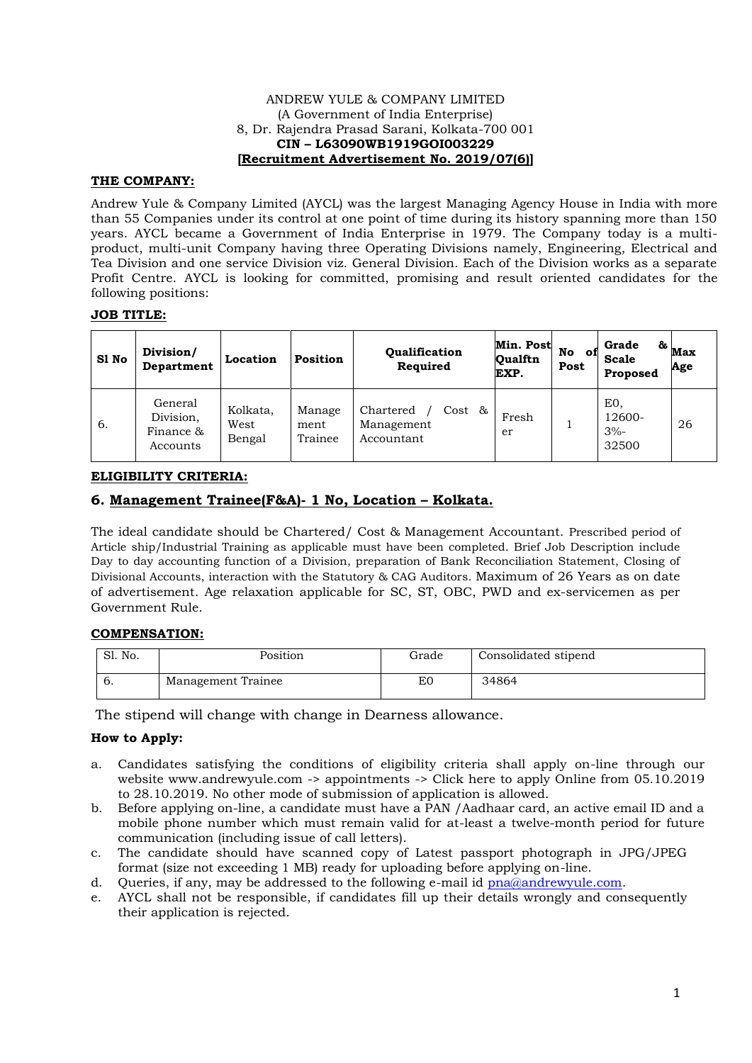## ANDREW YULE & COMPANY LIMITED (A Government of India Enterprise) 8, Dr. Rajendra Prasad Sarani, Kolkata-700 001 **CIN – L63090WB1919GOI003229 [Recruitment Advertisement No. 2019/07(6)]**

# **THE COMPANY:**

Andrew Yule & Company Limited (AYCL) was the largest Managing Agency House in India with more than 55 Companies under its control at one point of time during its history spanning more than 150 years. AYCL became a Government of India Enterprise in 1979. The Company today is a multiproduct, multi-unit Company having three Operating Divisions namely, Engineering, Electrical and Tea Division and one service Division viz. General Division. Each of the Division works as a separate Profit Centre. AYCL is looking for committed, promising and result oriented candidates for the following positions:

## **JOB TITLE:**

| S1 No | Division/<br>Department                       | Location                   | Position                  | <b>Oualification</b><br>Required                | Min. Post<br><b>Oualftn</b><br>EXP. | No<br>оt<br>Post | Grade<br><b>Scale</b><br><b>Proposed</b> | $\alpha$ <sub>Max</sub><br>Age |
|-------|-----------------------------------------------|----------------------------|---------------------------|-------------------------------------------------|-------------------------------------|------------------|------------------------------------------|--------------------------------|
| 6.    | General<br>Division,<br>Finance &<br>Accounts | Kolkata,<br>West<br>Bengal | Manage<br>ment<br>Trainee | Chartered<br>Cost &<br>Management<br>Accountant | Fresh<br>er                         |                  | EO,<br>12600-<br>$3% -$<br>32500         | 26                             |

# **ELIGIBILITY CRITERIA:**

# **6. Management Trainee(F&A)- 1 No, Location – Kolkata.**

The ideal candidate should be Chartered/ Cost & Management Accountant. Prescribed period of Article ship/Industrial Training as applicable must have been completed. Brief Job Description include Day to day accounting function of a Division, preparation of Bank Reconciliation Statement, Closing of Divisional Accounts, interaction with the Statutory & CAG Auditors. Maximum of 26 Years as on date of advertisement. Age relaxation applicable for SC, ST, OBC, PWD and ex-servicemen as per Government Rule.

#### **COMPENSATION:**

| Sl. No.        | Position           | Grade | Consolidated stipend |
|----------------|--------------------|-------|----------------------|
| $\mathbf{b}$ . | Management Trainee | ЕC    | 34864                |

The stipend will change with change in Dearness allowance.

# **How to Apply:**

- a. Candidates satisfying the conditions of eligibility criteria shall apply on-line through our website www.andrewyule.com -> appointments -> Click here to apply Online from 05.10.2019 to 28.10.2019. No other mode of submission of application is allowed.
- b. Before applying on-line, a candidate must have a PAN /Aadhaar card, an active email ID and a mobile phone number which must remain valid for at-least a twelve-month period for future communication (including issue of call letters).
- c. The candidate should have scanned copy of Latest passport photograph in JPG/JPEG format (size not exceeding 1 MB) ready for uploading before applying on-line.
- d. Queries, if any, may be addressed to the following e-mail id [pna@andrewyule.com.](mailto:pna@andrewyule.com)
- e. AYCL shall not be responsible, if candidates fill up their details wrongly and consequently their application is rejected.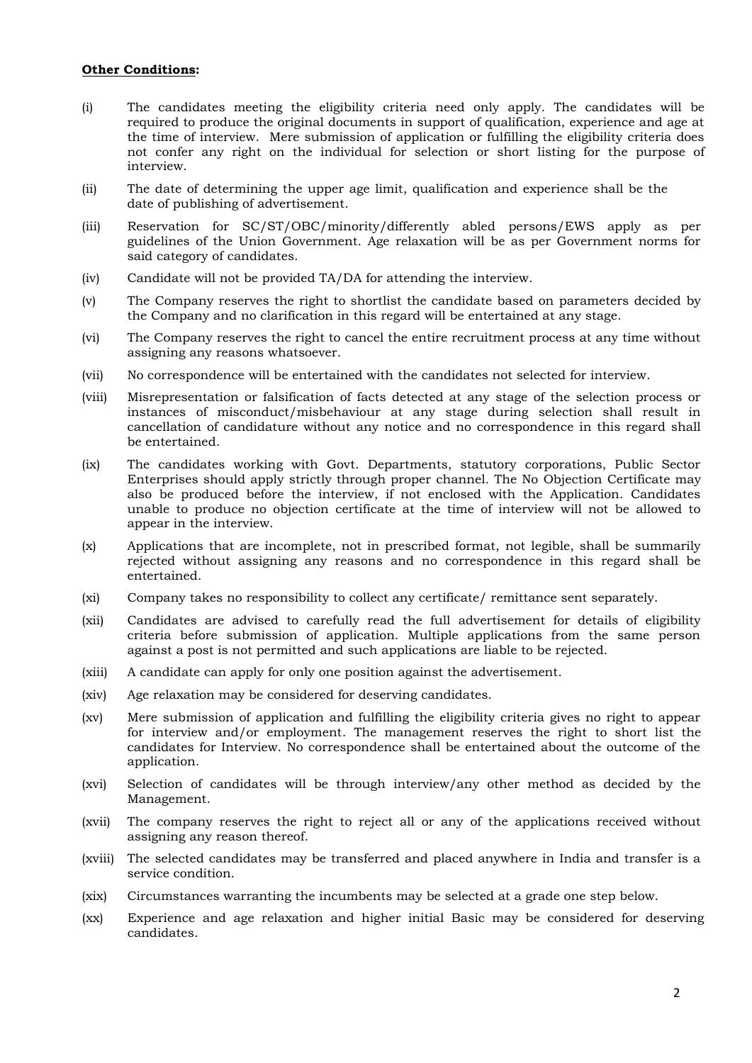#### **Other Conditions:**

- (i) The candidates meeting the eligibility criteria need only apply. The candidates will be required to produce the original documents in support of qualification, experience and age at the time of interview. Mere submission of application or fulfilling the eligibility criteria does not confer any right on the individual for selection or short listing for the purpose of interview.
- (ii) The date of determining the upper age limit, qualification and experience shall be the date of publishing of advertisement.
- (iii) Reservation for SC/ST/OBC/minority/differently abled persons/EWS apply as per guidelines of the Union Government. Age relaxation will be as per Government norms for said category of candidates.
- (iv) Candidate will not be provided TA/DA for attending the interview.
- (v) The Company reserves the right to shortlist the candidate based on parameters decided by the Company and no clarification in this regard will be entertained at any stage.
- (vi) The Company reserves the right to cancel the entire recruitment process at any time without assigning any reasons whatsoever.
- (vii) No correspondence will be entertained with the candidates not selected for interview.
- (viii) Misrepresentation or falsification of facts detected at any stage of the selection process or instances of misconduct/misbehaviour at any stage during selection shall result in cancellation of candidature without any notice and no correspondence in this regard shall be entertained.
- (ix) The candidates working with Govt. Departments, statutory corporations, Public Sector Enterprises should apply strictly through proper channel. The No Objection Certificate may also be produced before the interview, if not enclosed with the Application. Candidates unable to produce no objection certificate at the time of interview will not be allowed to appear in the interview.
- (x) Applications that are incomplete, not in prescribed format, not legible, shall be summarily rejected without assigning any reasons and no correspondence in this regard shall be entertained.
- (xi) Company takes no responsibility to collect any certificate/ remittance sent separately.
- (xii) Candidates are advised to carefully read the full advertisement for details of eligibility criteria before submission of application. Multiple applications from the same person against a post is not permitted and such applications are liable to be rejected.
- (xiii) A candidate can apply for only one position against the advertisement.
- (xiv) Age relaxation may be considered for deserving candidates.
- (xv) Mere submission of application and fulfilling the eligibility criteria gives no right to appear for interview and/or employment. The management reserves the right to short list the candidates for Interview. No correspondence shall be entertained about the outcome of the application.
- (xvi) Selection of candidates will be through interview/any other method as decided by the Management.
- (xvii) The company reserves the right to reject all or any of the applications received without assigning any reason thereof.
- (xviii) The selected candidates may be transferred and placed anywhere in India and transfer is a service condition.
- (xix) Circumstances warranting the incumbents may be selected at a grade one step below.
- (xx) Experience and age relaxation and higher initial Basic may be considered for deserving candidates.